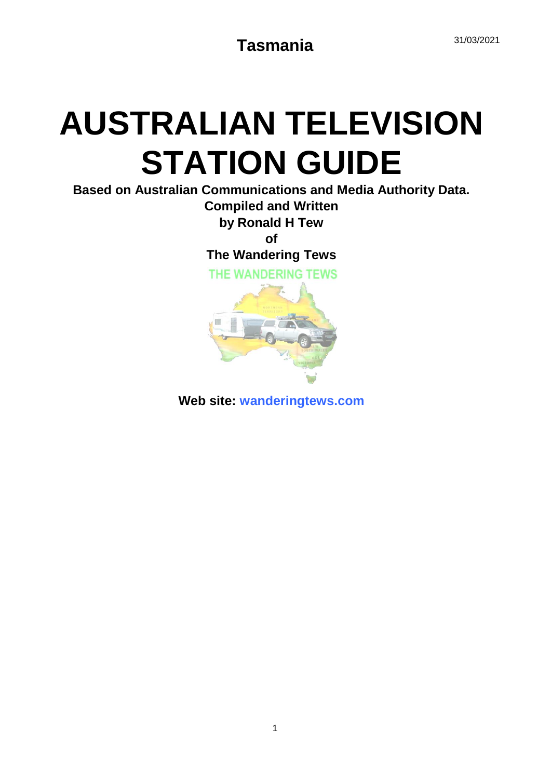# **AUSTRALIAN TELEVISION STATION GUIDE**

**Based on Australian Communications and Media Authority Data.**

**Compiled and Written by Ronald H Tew**

**of**

**The Wandering Tews**

THE WANDERING TEWS



**Web site: wanderingtews.com**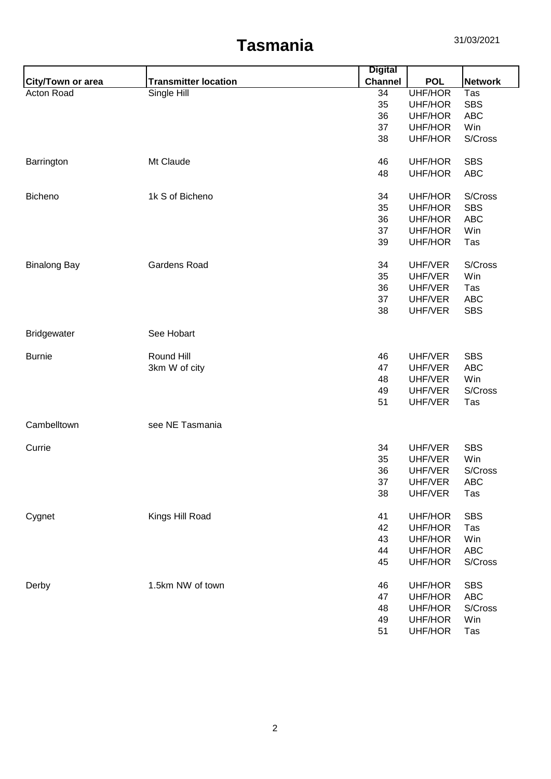|                     |                             | <b>Digital</b> |                |                |
|---------------------|-----------------------------|----------------|----------------|----------------|
| City/Town or area   | <b>Transmitter location</b> | <b>Channel</b> | <b>POL</b>     | <b>Network</b> |
| Acton Road          | Single Hill                 | 34             | <b>UHF/HOR</b> | Tas            |
|                     |                             | 35             | UHF/HOR        | <b>SBS</b>     |
|                     |                             | 36             | UHF/HOR        | <b>ABC</b>     |
|                     |                             | 37             | <b>UHF/HOR</b> | Win            |
|                     |                             | 38             | UHF/HOR        | S/Cross        |
| Barrington          | Mt Claude                   | 46             | UHF/HOR        | <b>SBS</b>     |
|                     |                             | 48             | UHF/HOR        | <b>ABC</b>     |
| Bicheno             | 1k S of Bicheno             | 34             | UHF/HOR        | S/Cross        |
|                     |                             | 35             | UHF/HOR        | <b>SBS</b>     |
|                     |                             | 36             | UHF/HOR        | <b>ABC</b>     |
|                     |                             | 37             | UHF/HOR        | Win            |
|                     |                             | 39             | UHF/HOR        | Tas            |
| <b>Binalong Bay</b> | <b>Gardens Road</b>         | 34             | UHF/VER        | S/Cross        |
|                     |                             | 35             | UHF/VER        | Win            |
|                     |                             | 36             | UHF/VER        | Tas            |
|                     |                             | 37             | UHF/VER        | <b>ABC</b>     |
|                     |                             | 38             | UHF/VER        | <b>SBS</b>     |
| <b>Bridgewater</b>  | See Hobart                  |                |                |                |
| <b>Burnie</b>       | Round Hill                  | 46             | UHF/VER        | <b>SBS</b>     |
|                     | 3km W of city               | 47             | UHF/VER        | <b>ABC</b>     |
|                     |                             | 48             | UHF/VER        | Win            |
|                     |                             | 49             | UHF/VER        | S/Cross        |
|                     |                             | 51             | UHF/VER        | Tas            |
| Cambelltown         | see NE Tasmania             |                |                |                |
| Currie              |                             | 34             | UHF/VER        | <b>SBS</b>     |
|                     |                             | 35             | UHF/VER        | Win            |
|                     |                             | 36             | UHF/VER        | S/Cross        |
|                     |                             | 37             | UHF/VER        | <b>ABC</b>     |
|                     |                             | 38             | UHF/VER        | Tas            |
| Cygnet              | Kings Hill Road             | 41             | UHF/HOR        | <b>SBS</b>     |
|                     |                             | 42             | UHF/HOR        | Tas            |
|                     |                             | 43             | UHF/HOR        | Win            |
|                     |                             | 44             | UHF/HOR        | <b>ABC</b>     |
|                     |                             | 45             | UHF/HOR        | S/Cross        |
| Derby               | 1.5km NW of town            | 46             | UHF/HOR        | <b>SBS</b>     |
|                     |                             | 47             | UHF/HOR        | <b>ABC</b>     |
|                     |                             | 48             | UHF/HOR        | S/Cross        |
|                     |                             | 49             | UHF/HOR        | Win            |
|                     |                             | 51             | <b>UHF/HOR</b> | Tas            |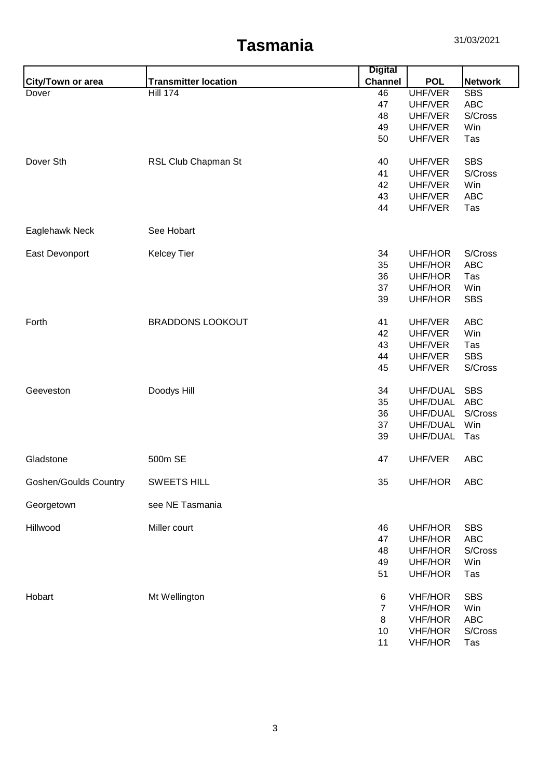|                              |                             | <b>Digital</b> |                                  |                   |
|------------------------------|-----------------------------|----------------|----------------------------------|-------------------|
| <b>City/Town or area</b>     | <b>Transmitter location</b> | <b>Channel</b> | <b>POL</b>                       | <b>Network</b>    |
| Dover                        | <b>Hill 174</b>             | 46             | <b>UHF/VER</b>                   | <b>SBS</b>        |
|                              |                             | 47             | UHF/VER                          | <b>ABC</b>        |
|                              |                             | 48             | UHF/VER                          | S/Cross           |
|                              |                             | 49             | UHF/VER                          | Win               |
|                              |                             | 50             | UHF/VER                          | Tas               |
| Dover Sth                    | RSL Club Chapman St         | 40             | UHF/VER                          | <b>SBS</b>        |
|                              |                             | 41             | UHF/VER                          | S/Cross           |
|                              |                             | 42             | UHF/VER                          | Win               |
|                              |                             | 43             | UHF/VER                          | <b>ABC</b>        |
|                              |                             | 44             | UHF/VER                          | Tas               |
| Eaglehawk Neck               | See Hobart                  |                |                                  |                   |
| East Devonport               | <b>Kelcey Tier</b>          | 34             | UHF/HOR                          | S/Cross           |
|                              |                             | 35             | UHF/HOR                          | <b>ABC</b>        |
|                              |                             | 36             | <b>UHF/HOR</b>                   | Tas               |
|                              |                             | 37             | UHF/HOR                          | Win               |
|                              |                             | 39             | UHF/HOR                          | <b>SBS</b>        |
| Forth                        | <b>BRADDONS LOOKOUT</b>     | 41             | UHF/VER                          | <b>ABC</b>        |
|                              |                             | 42             | UHF/VER                          | Win               |
|                              |                             | 43             | UHF/VER                          | Tas               |
|                              |                             | 44             | UHF/VER                          | <b>SBS</b>        |
|                              |                             | 45             | UHF/VER                          | S/Cross           |
| Geeveston                    | Doodys Hill                 | 34             | UHF/DUAL                         | <b>SBS</b>        |
|                              |                             | 35             | UHF/DUAL                         | <b>ABC</b>        |
|                              |                             | 36             | UHF/DUAL                         | S/Cross           |
|                              |                             | 37             | UHF/DUAL                         | Win               |
|                              |                             | 39             | UHF/DUAL                         | Tas               |
| Gladstone                    | 500m SE                     | 47             | UHF/VER                          | <b>ABC</b>        |
| <b>Goshen/Goulds Country</b> | <b>SWEETS HILL</b>          | 35             | UHF/HOR                          | <b>ABC</b>        |
| Georgetown                   | see NE Tasmania             |                |                                  |                   |
| Hillwood                     | Miller court                | 46             | <b>UHF/HOR</b>                   | <b>SBS</b>        |
|                              |                             | 47             | <b>UHF/HOR</b>                   | <b>ABC</b>        |
|                              |                             | 48             | <b>UHF/HOR</b>                   | S/Cross           |
|                              |                             | 49             | UHF/HOR                          | Win               |
|                              |                             | 51             | <b>UHF/HOR</b>                   | Tas               |
|                              |                             |                |                                  |                   |
| Hobart                       | Mt Wellington               | 6              | <b>VHF/HOR</b>                   | <b>SBS</b>        |
|                              |                             | 7              | <b>VHF/HOR</b><br><b>VHF/HOR</b> | Win<br><b>ABC</b> |
|                              |                             | 8<br>10        | <b>VHF/HOR</b>                   | S/Cross           |
|                              |                             | 11             | <b>VHF/HOR</b>                   |                   |
|                              |                             |                |                                  | Tas               |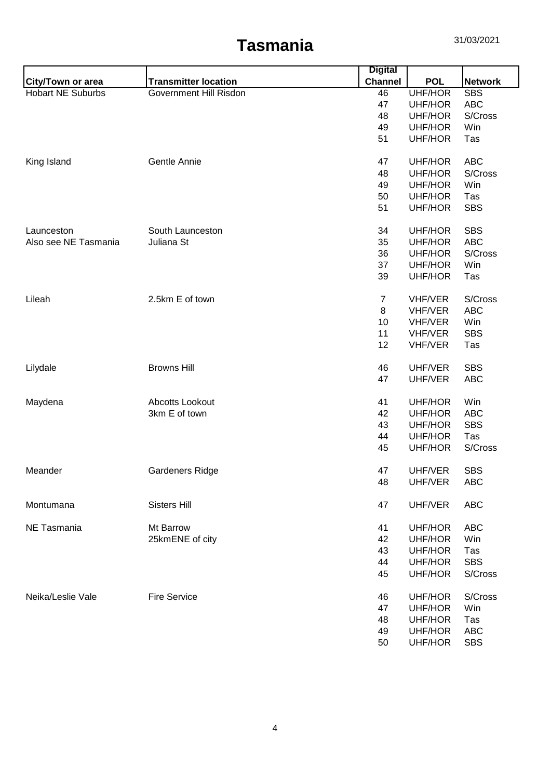|                          |                             | <b>Digital</b> |                |                |
|--------------------------|-----------------------------|----------------|----------------|----------------|
| <b>City/Town or area</b> | <b>Transmitter location</b> | <b>Channel</b> | <b>POL</b>     | <b>Network</b> |
| <b>Hobart NE Suburbs</b> | Government Hill Risdon      | 46             | <b>UHF/HOR</b> | <b>SBS</b>     |
|                          |                             | 47             | UHF/HOR        | <b>ABC</b>     |
|                          |                             | 48             | UHF/HOR        | S/Cross        |
|                          |                             | 49             | <b>UHF/HOR</b> | Win            |
|                          |                             | 51             | UHF/HOR        | Tas            |
| King Island              | Gentle Annie                | 47             | <b>UHF/HOR</b> | <b>ABC</b>     |
|                          |                             | 48             | UHF/HOR        | S/Cross        |
|                          |                             | 49             | UHF/HOR        | Win            |
|                          |                             | 50             | UHF/HOR        | Tas            |
|                          |                             | 51             | UHF/HOR        | <b>SBS</b>     |
| Launceston               | South Launceston            | 34             | UHF/HOR        | <b>SBS</b>     |
| Also see NE Tasmania     | Juliana St                  | 35             | UHF/HOR        | <b>ABC</b>     |
|                          |                             | 36             | UHF/HOR        | S/Cross        |
|                          |                             | 37             | UHF/HOR        | Win            |
|                          |                             | 39             | UHF/HOR        | Tas            |
| Lileah                   | 2.5km E of town             | $\overline{7}$ | VHF/VER        | S/Cross        |
|                          |                             | 8              | VHF/VER        | <b>ABC</b>     |
|                          |                             | 10             | VHF/VER        | Win            |
|                          |                             | 11             | VHF/VER        | <b>SBS</b>     |
|                          |                             | 12             | <b>VHF/VER</b> | Tas            |
| Lilydale                 | <b>Browns Hill</b>          | 46             | UHF/VER        | <b>SBS</b>     |
|                          |                             | 47             | UHF/VER        | <b>ABC</b>     |
| Maydena                  | Abcotts Lookout             | 41             | UHF/HOR        | Win            |
|                          | 3km E of town               | 42             | UHF/HOR        | <b>ABC</b>     |
|                          |                             | 43             | UHF/HOR        | <b>SBS</b>     |
|                          |                             | 44             | <b>UHF/HOR</b> | Tas            |
|                          |                             | 45             | UHF/HOR        | S/Cross        |
| Meander                  | Gardeners Ridge             | 47             | UHF/VER        | <b>SBS</b>     |
|                          |                             | 48             | UHF/VER        | <b>ABC</b>     |
| Montumana                | <b>Sisters Hill</b>         | 47             | UHF/VER        | <b>ABC</b>     |
| NE Tasmania              | Mt Barrow                   | 41             | UHF/HOR        | <b>ABC</b>     |
|                          | 25kmENE of city             | 42             | UHF/HOR        | Win            |
|                          |                             | 43             | UHF/HOR        | Tas            |
|                          |                             | 44             | UHF/HOR        | <b>SBS</b>     |
|                          |                             | 45             | UHF/HOR        | S/Cross        |
| Neika/Leslie Vale        | <b>Fire Service</b>         | 46             | UHF/HOR        | S/Cross        |
|                          |                             | 47             | UHF/HOR        | Win            |
|                          |                             | 48             | UHF/HOR        | Tas            |
|                          |                             | 49             | UHF/HOR        | <b>ABC</b>     |
|                          |                             | 50             | UHF/HOR        | <b>SBS</b>     |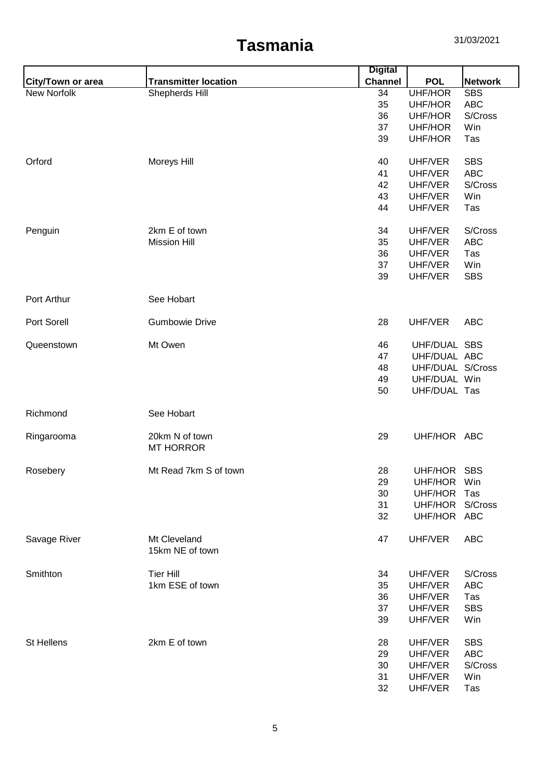|                   |                                 | <b>Digital</b> |                  |                |
|-------------------|---------------------------------|----------------|------------------|----------------|
| City/Town or area | <b>Transmitter location</b>     | <b>Channel</b> | <b>POL</b>       | <b>Network</b> |
| New Norfolk       | Shepherds Hill                  | 34             | <b>UHF/HOR</b>   | <b>SBS</b>     |
|                   |                                 | 35             | UHF/HOR          | <b>ABC</b>     |
|                   |                                 | 36             | UHF/HOR          | S/Cross        |
|                   |                                 | 37             | UHF/HOR          | Win            |
|                   |                                 | 39             | UHF/HOR          | Tas            |
| Orford            | Moreys Hill                     | 40             | UHF/VER          | <b>SBS</b>     |
|                   |                                 | 41             | UHF/VER          | <b>ABC</b>     |
|                   |                                 | 42             | UHF/VER          | S/Cross        |
|                   |                                 | 43             | UHF/VER          | Win            |
|                   |                                 | 44             | UHF/VER          | Tas            |
| Penguin           | 2km E of town                   | 34             | UHF/VER          | S/Cross        |
|                   | <b>Mission Hill</b>             | 35             | UHF/VER          | <b>ABC</b>     |
|                   |                                 | 36             | UHF/VER          | Tas            |
|                   |                                 | 37             | UHF/VER          | Win            |
|                   |                                 | 39             | UHF/VER          | <b>SBS</b>     |
| Port Arthur       | See Hobart                      |                |                  |                |
| Port Sorell       | <b>Gumbowie Drive</b>           | 28             | UHF/VER          | <b>ABC</b>     |
| Queenstown        | Mt Owen                         | 46             | UHF/DUAL SBS     |                |
|                   |                                 | 47             | UHF/DUAL ABC     |                |
|                   |                                 | 48             | UHF/DUAL S/Cross |                |
|                   |                                 | 49             | UHF/DUAL Win     |                |
|                   |                                 | 50             | UHF/DUAL Tas     |                |
| Richmond          | See Hobart                      |                |                  |                |
| Ringarooma        | 20km N of town                  | 29             | UHF/HOR ABC      |                |
|                   | <b>MT HORROR</b>                |                |                  |                |
| Rosebery          | Mt Read 7km S of town           | 28             | UHF/HOR SBS      |                |
|                   |                                 | 29             | UHF/HOR          | Win            |
|                   |                                 | 30             | UHF/HOR          | Tas            |
|                   |                                 | 31             | UHF/HOR S/Cross  |                |
|                   |                                 | 32             | UHF/HOR ABC      |                |
| Savage River      | Mt Cleveland<br>15km NE of town | 47             | UHF/VER          | <b>ABC</b>     |
| Smithton          | <b>Tier Hill</b>                | 34             | UHF/VER          | S/Cross        |
|                   | 1km ESE of town                 | 35             | UHF/VER          | <b>ABC</b>     |
|                   |                                 | 36             | UHF/VER          | Tas            |
|                   |                                 | 37             | UHF/VER          | <b>SBS</b>     |
|                   |                                 | 39             | UHF/VER          | Win            |
| St Hellens        | 2km E of town                   | 28             | UHF/VER          | <b>SBS</b>     |
|                   |                                 | 29             | UHF/VER          | <b>ABC</b>     |
|                   |                                 | 30             | UHF/VER          | S/Cross        |
|                   |                                 | 31             | UHF/VER          | Win            |
|                   |                                 | 32             | UHF/VER          | Tas            |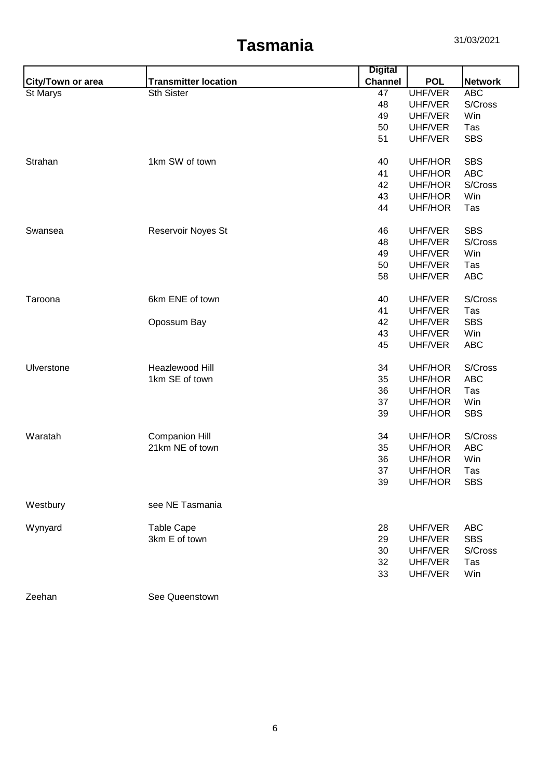|                   |                             | <b>Digital</b> |                |                |
|-------------------|-----------------------------|----------------|----------------|----------------|
| City/Town or area | <b>Transmitter location</b> | <b>Channel</b> | <b>POL</b>     | <b>Network</b> |
| St Marys          | Sth Sister                  | 47             | UHF/VER        | <b>ABC</b>     |
|                   |                             | 48             | UHF/VER        | S/Cross        |
|                   |                             | 49             | UHF/VER        | Win            |
|                   |                             | 50             | UHF/VER        | Tas            |
|                   |                             | 51             | UHF/VER        | <b>SBS</b>     |
| Strahan           | 1km SW of town              | 40             | UHF/HOR        | <b>SBS</b>     |
|                   |                             | 41             | UHF/HOR        | <b>ABC</b>     |
|                   |                             | 42             | UHF/HOR        | S/Cross        |
|                   |                             | 43             | UHF/HOR        | Win            |
|                   |                             | 44             | UHF/HOR        | Tas            |
| Swansea           | Reservoir Noyes St          | 46             | UHF/VER        | <b>SBS</b>     |
|                   |                             | 48             | UHF/VER        | S/Cross        |
|                   |                             | 49             | UHF/VER        | Win            |
|                   |                             | 50             | UHF/VER        | Tas            |
|                   |                             | 58             | UHF/VER        | <b>ABC</b>     |
| Taroona           | 6km ENE of town             | 40             | UHF/VER        | S/Cross        |
|                   |                             | 41             | UHF/VER        | Tas            |
|                   | Opossum Bay                 | 42             | UHF/VER        | <b>SBS</b>     |
|                   |                             | 43             | UHF/VER        | Win            |
|                   |                             | 45             | UHF/VER        | <b>ABC</b>     |
| Ulverstone        | Heazlewood Hill             | 34             | UHF/HOR        | S/Cross        |
|                   | 1km SE of town              | 35             | UHF/HOR        | <b>ABC</b>     |
|                   |                             | 36             | UHF/HOR        | Tas            |
|                   |                             | 37             | UHF/HOR        | Win            |
|                   |                             | 39             | UHF/HOR        | <b>SBS</b>     |
| Waratah           | <b>Companion Hill</b>       | 34             | UHF/HOR        | S/Cross        |
|                   | 21km NE of town             | 35             | UHF/HOR        | <b>ABC</b>     |
|                   |                             | 36             | UHF/HOR        | Win            |
|                   |                             | 37             | <b>UHF/HOR</b> | Tas            |
|                   |                             | 39             | UHF/HOR        | <b>SBS</b>     |
| Westbury          | see NE Tasmania             |                |                |                |
| Wynyard           | <b>Table Cape</b>           | 28             | UHF/VER        | <b>ABC</b>     |
|                   | 3km E of town               | 29             | UHF/VER        | <b>SBS</b>     |
|                   |                             | 30             | UHF/VER        | S/Cross        |
|                   |                             | 32             | UHF/VER        | Tas            |
|                   |                             | 33             | UHF/VER        | Win            |
| Zeehan            | See Queenstown              |                |                |                |